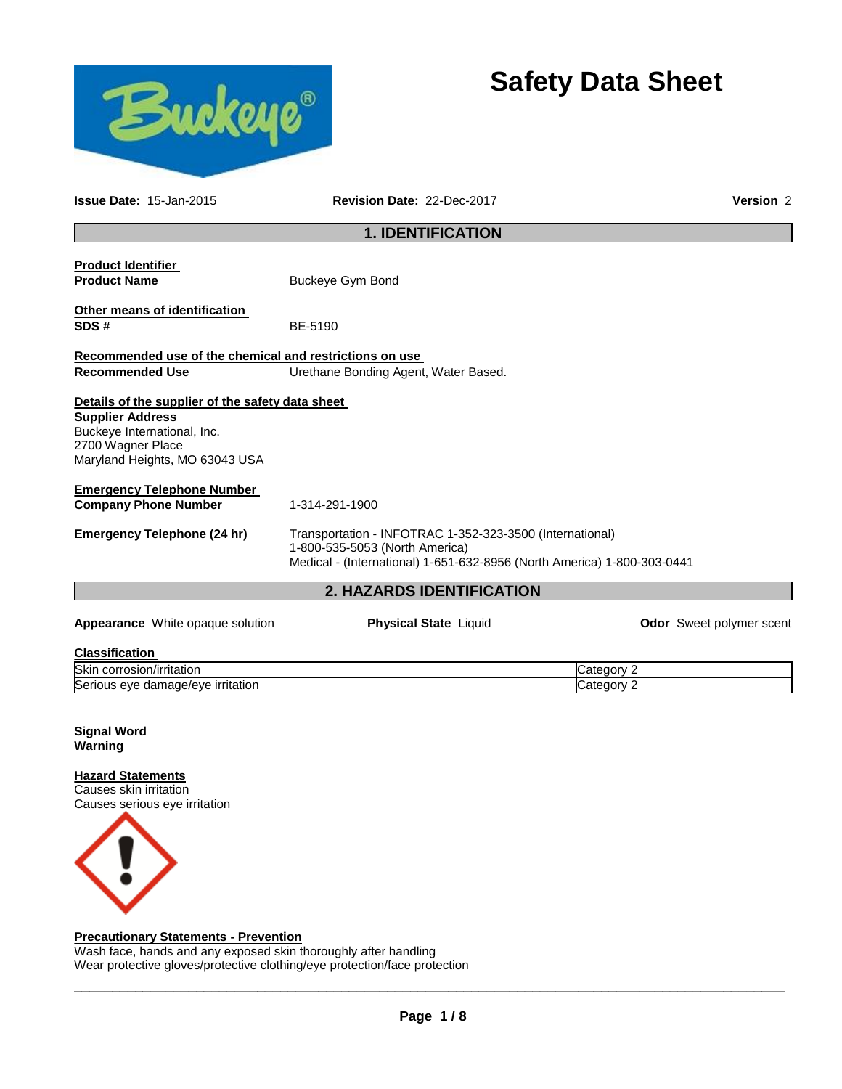

# **Safety Data Sheet**

Category 2

| <b>Issue Date: 15-Jan-2015</b>                                              | Revision Date: 22-Dec-2017                                                                                                                                            |                                 |  |
|-----------------------------------------------------------------------------|-----------------------------------------------------------------------------------------------------------------------------------------------------------------------|---------------------------------|--|
|                                                                             | <b>1. IDENTIFICATION</b>                                                                                                                                              |                                 |  |
| <b>Product Identifier</b>                                                   |                                                                                                                                                                       |                                 |  |
| <b>Product Name</b>                                                         | <b>Buckeye Gym Bond</b>                                                                                                                                               |                                 |  |
| Other means of identification<br>SDS#                                       | BE-5190                                                                                                                                                               |                                 |  |
| Recommended use of the chemical and restrictions on use                     |                                                                                                                                                                       |                                 |  |
| <b>Recommended Use</b>                                                      | Urethane Bonding Agent, Water Based.                                                                                                                                  |                                 |  |
| Details of the supplier of the safety data sheet                            |                                                                                                                                                                       |                                 |  |
| <b>Supplier Address</b><br>Buckeye International, Inc.<br>2700 Wagner Place |                                                                                                                                                                       |                                 |  |
| Maryland Heights, MO 63043 USA                                              |                                                                                                                                                                       |                                 |  |
| <b>Emergency Telephone Number</b>                                           |                                                                                                                                                                       |                                 |  |
| <b>Company Phone Number</b>                                                 | 1-314-291-1900                                                                                                                                                        |                                 |  |
| Emergency Telephone (24 hr)                                                 | Transportation - INFOTRAC 1-352-323-3500 (International)<br>1-800-535-5053 (North America)<br>Medical - (International) 1-651-632-8956 (North America) 1-800-303-0441 |                                 |  |
|                                                                             | <b>2. HAZARDS IDENTIFICATION</b>                                                                                                                                      |                                 |  |
| <b>Appearance</b> White opaque solution                                     | <b>Physical State Liquid</b>                                                                                                                                          | <b>Odor</b> Sweet polymer scent |  |

| <b>Classification</b>     |  |
|---------------------------|--|
| Skin corrosion/irritation |  |

Serious eye damage/eye irritation Category 2 and Category 2

| <b>Signal Word</b> |  |
|--------------------|--|
| Warning            |  |

**Hazard Statements** Causes skin irritation Causes serious eye irritation



# **Precautionary Statements - Prevention**

Wash face, hands and any exposed skin thoroughly after handling Wear protective gloves/protective clothing/eye protection/face protection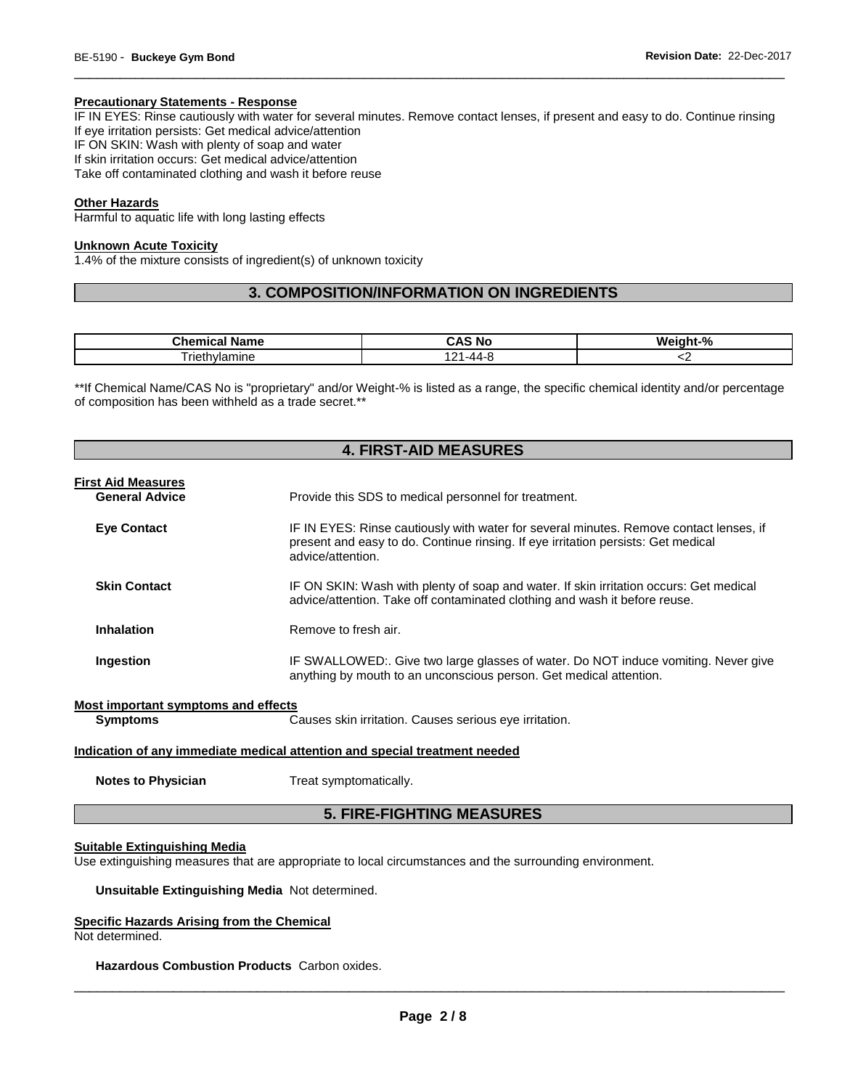# **Precautionary Statements - Response**

IF IN EYES: Rinse cautiously with water for several minutes. Remove contact lenses, if present and easy to do. Continue rinsing If eye irritation persists: Get medical advice/attention

\_\_\_\_\_\_\_\_\_\_\_\_\_\_\_\_\_\_\_\_\_\_\_\_\_\_\_\_\_\_\_\_\_\_\_\_\_\_\_\_\_\_\_\_\_\_\_\_\_\_\_\_\_\_\_\_\_\_\_\_\_\_\_\_\_\_\_\_\_\_\_\_\_\_\_\_\_\_\_\_\_\_\_\_\_\_\_\_\_\_\_\_\_

IF ON SKIN: Wash with plenty of soap and water If skin irritation occurs: Get medical advice/attention

Take off contaminated clothing and wash it before reuse

# **Other Hazards**

Harmful to aquatic life with long lasting effects

#### **Unknown Acute Toxicity**

1.4% of the mixture consists of ingredient(s) of unknown toxicity

# **3. COMPOSITION/INFORMATION ON INGREDIENTS**

| Chamise :<br>Name<br>ייסווט<br>ual | . .<br>N0<br>. v.<br>. .<br>$\sqrt{ }$ | Weinht-%<br>70 |
|------------------------------------|----------------------------------------|----------------|
| vlamine<br>rıc                     | ໍາາ<br>. .<br>. .                      | . .            |

\*\*If Chemical Name/CAS No is "proprietary" and/or Weight-% is listed as a range, the specific chemical identity and/or percentage of composition has been withheld as a trade secret.\*\*

# **4. FIRST-AID MEASURES First Aid Measures General Advice** Provide this SDS to medical personnel for treatment. **Eye Contact** IF IN EYES: Rinse cautiously with water for several minutes. Remove contact lenses, if present and easy to do. Continue rinsing. If eye irritation persists: Get medical advice/attention. **Skin Contact IF ON SKIN: Wash with plenty of soap and water. If skin irritation occurs: Get medical** advice/attention. Take off contaminated clothing and wash it before reuse. **Inhalation Remove to fresh air. Ingestion IF SWALLOWED:.** Give two large glasses of water. Do NOT induce vomiting. Never give anything by mouth to an unconscious person. Get medical attention.

**Most important symptoms and effects**

**Symptoms** Causes skin irritation. Causes serious eye irritation.

#### **Indication of any immediate medical attention and special treatment needed**

**Notes to Physician**  Treat symptomatically.

# **5. FIRE-FIGHTING MEASURES**

# **Suitable Extinguishing Media**

Use extinguishing measures that are appropriate to local circumstances and the surrounding environment.

**Unsuitable Extinguishing Media** Not determined.

#### **Specific Hazards Arising from the Chemical**

Not determined.

**Hazardous Combustion Products** Carbon oxides.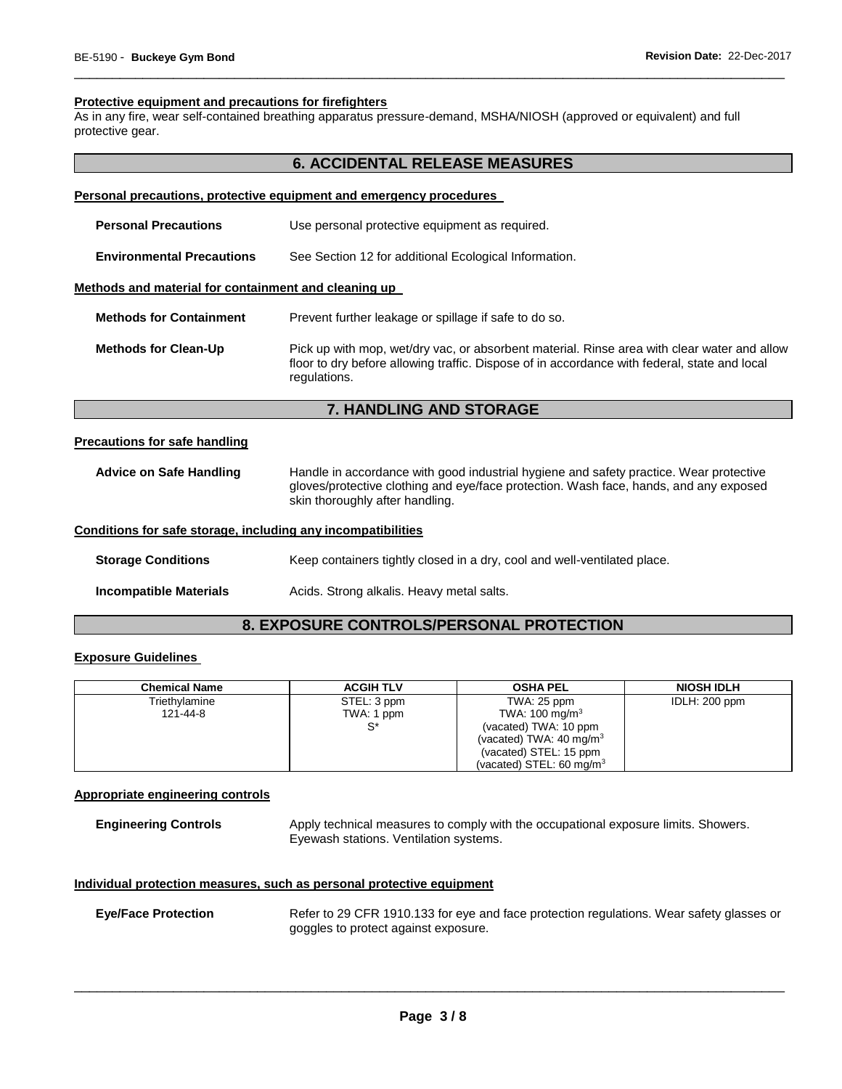## **Protective equipment and precautions for firefighters**

As in any fire, wear self-contained breathing apparatus pressure-demand, MSHA/NIOSH (approved or equivalent) and full protective gear.

# **6. ACCIDENTAL RELEASE MEASURES**

\_\_\_\_\_\_\_\_\_\_\_\_\_\_\_\_\_\_\_\_\_\_\_\_\_\_\_\_\_\_\_\_\_\_\_\_\_\_\_\_\_\_\_\_\_\_\_\_\_\_\_\_\_\_\_\_\_\_\_\_\_\_\_\_\_\_\_\_\_\_\_\_\_\_\_\_\_\_\_\_\_\_\_\_\_\_\_\_\_\_\_\_\_

# **Personal precautions, protective equipment and emergency procedures**

| <b>Personal Precautions</b>                                  | Use personal protective equipment as required.                                                                                                                                                                     |
|--------------------------------------------------------------|--------------------------------------------------------------------------------------------------------------------------------------------------------------------------------------------------------------------|
| <b>Environmental Precautions</b>                             | See Section 12 for additional Ecological Information.                                                                                                                                                              |
| Methods and material for containment and cleaning up         |                                                                                                                                                                                                                    |
| <b>Methods for Containment</b>                               | Prevent further leakage or spillage if safe to do so.                                                                                                                                                              |
| <b>Methods for Clean-Up</b>                                  | Pick up with mop, wet/dry vac, or absorbent material. Rinse area with clear water and allow<br>floor to dry before allowing traffic. Dispose of in accordance with federal, state and local<br>regulations.        |
|                                                              | <b>7. HANDLING AND STORAGE</b>                                                                                                                                                                                     |
| <b>Precautions for safe handling</b>                         |                                                                                                                                                                                                                    |
| <b>Advice on Safe Handling</b>                               | Handle in accordance with good industrial hygiene and safety practice. Wear protective<br>gloves/protective clothing and eye/face protection. Wash face, hands, and any exposed<br>skin thoroughly after handling. |
| Conditions for safe storage, including any incompatibilities |                                                                                                                                                                                                                    |
| Clavente Candiliano                                          | ican containera tightly ologad in a drug and und woll ventilated place.                                                                                                                                            |

# **Storage Conditions Keep containers tightly closed in a dry, cool and well-ventilated place.**

**Incompatible Materials Acids. Strong alkalis. Heavy metal salts.** 

# **8. EXPOSURE CONTROLS/PERSONAL PROTECTION**

# **Exposure Guidelines**

L

| <b>Chemical Name</b> | <b>ACGIH TLV</b> | <b>OSHA PEL</b>                     | <b>NIOSH IDLH</b> |
|----------------------|------------------|-------------------------------------|-------------------|
| Triethylamine        | STEL: 3 ppm      | TWA: 25 ppm                         | IDLH: 200 ppm     |
| 121-44-8             | TWA: 1 ppm       | TWA: $100 \text{ mg/m}^3$           |                   |
|                      | c*               | (vacated) TWA: 10 ppm               |                   |
|                      |                  | (vacated) TWA: $40 \text{ mg/m}^3$  |                   |
|                      |                  | (vacated) STEL: 15 ppm              |                   |
|                      |                  | (vacated) STEL: $60 \text{ mg/m}^3$ |                   |

# **Appropriate engineering controls**

**Engineering Controls** Apply technical measures to comply with the occupational exposure limits. Showers. Eyewash stations. Ventilation systems.

# **Individual protection measures, such as personal protective equipment**

| <b>Eye/Face Protection</b> | Refer to 29 CFR 1910.133 for eye and face protection regulations. Wear safety glasses or |
|----------------------------|------------------------------------------------------------------------------------------|
|                            | goggles to protect against exposure.                                                     |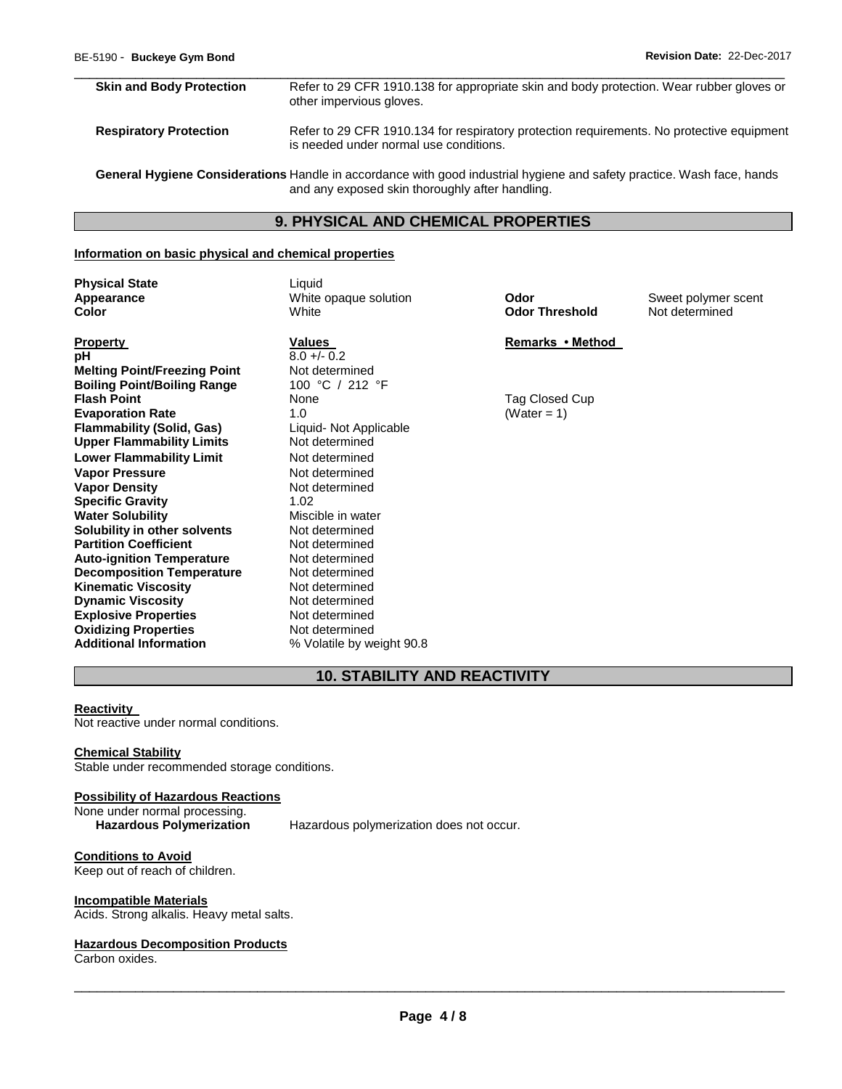# **Skin and Body Protection** Refer to 29 CFR 1910.138 for appropriate skin and body protection. Wear rubber gloves or other impervious gloves. **Respiratory Protection Refer to 29 CFR 1910.134 for respiratory protection requirements. No protective equipment**

\_\_\_\_\_\_\_\_\_\_\_\_\_\_\_\_\_\_\_\_\_\_\_\_\_\_\_\_\_\_\_\_\_\_\_\_\_\_\_\_\_\_\_\_\_\_\_\_\_\_\_\_\_\_\_\_\_\_\_\_\_\_\_\_\_\_\_\_\_\_\_\_\_\_\_\_\_\_\_\_\_\_\_\_\_\_\_\_\_\_\_\_\_

is needed under normal use conditions.

**General Hygiene Considerations** Handle in accordance with good industrial hygiene and safety practice. Wash face, hands and any exposed skin thoroughly after handling.

# **9. PHYSICAL AND CHEMICAL PROPERTIES**

# **Information on basic physical and chemical properties**

**Physical State Liquid** 

**Appearance** White opaque solution **Odor** Sweet polymer scent **Color** White **Odor Threshold** Not determined

**pH**  $\frac{8.0 + (-0.2)}{8.0 + (-0.2)}$ **Melting Point/Freezing Point Not determined**<br> **Boiling Point/Boiling Range** 100 °C / 212 °F **Boiling Point/Boiling Range Flash Point 1996 None None None None Tag Closed Cup Evaporation Rate 1.0** (Water = 1) **Flammability (Solid, Gas)** Liquid- Not Applicable<br>
Upper Flammability Limits Mot determined **Upper Flammability Limits Lower Flammability Limit** Not determined **Vapor Pressure <b>Vapor Pressure Not determined**<br> **Vapor Density Not determined Vapor Density Specific Gravity** 1.02 **Water Solubility Miscible in water Solubility in other solvents** Not determined **Partition Coefficient Not determined**<br> **Auto-ignition Temperature** Not determined **Auto-ignition Temperature Decomposition Temperature Not determined**<br>**Kinematic Viscosity Not determined Kinematic Viscosity**<br> **Dynamic Viscosity**<br> **Not determined Dynamic Viscosity**<br> **Explosive Properties**<br>
Not determined **Explosive Properties Not determined**<br> **Oxidizing Properties Not determined Oxidizing Properties<br>Additional Information** 

**Property Values Property Property Property Additional Information** % Volatile by weight 90.8

# **10. STABILITY AND REACTIVITY**

#### **Reactivity**

Not reactive under normal conditions.

# **Chemical Stability**

Stable under recommended storage conditions.

# **Possibility of Hazardous Reactions**

None under normal processing.<br>Hazardous Polymerization

Hazardous polymerization does not occur.

**Conditions to Avoid** Keep out of reach of children.

#### **Incompatible Materials**

Acids. Strong alkalis. Heavy metal salts.

# **Hazardous Decomposition Products**

Carbon oxides.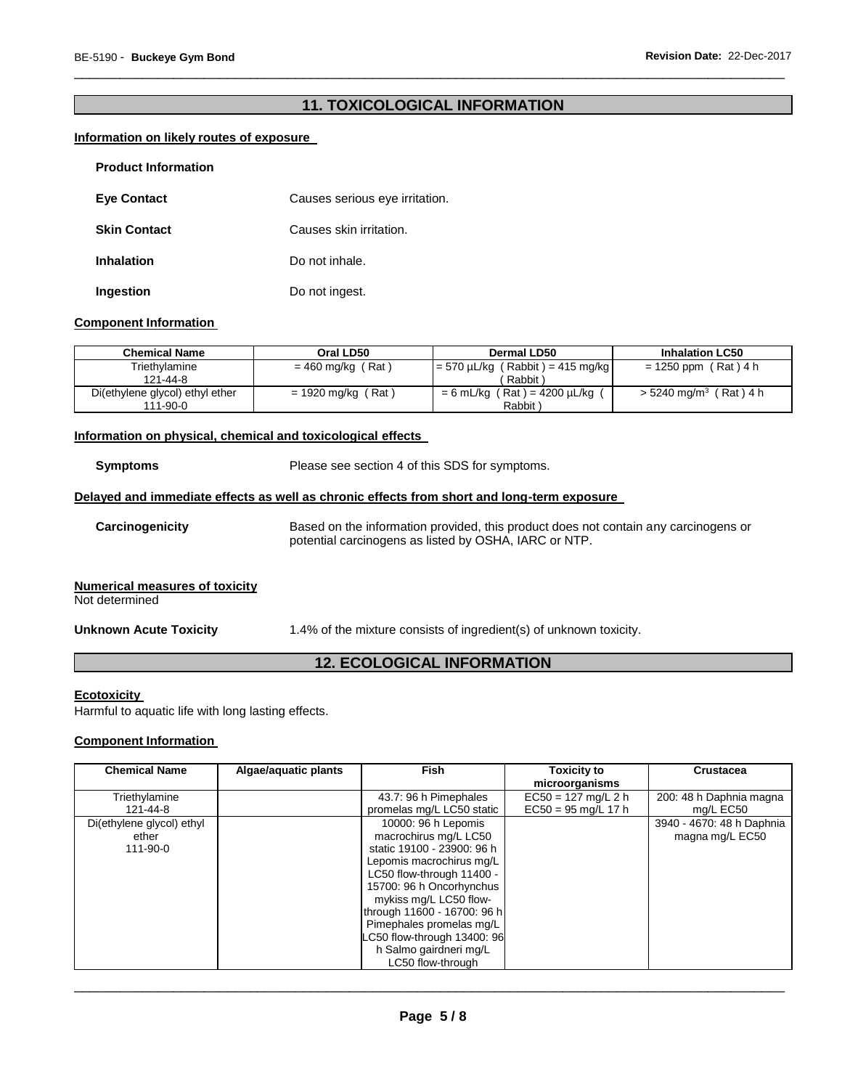# **11. TOXICOLOGICAL INFORMATION**

\_\_\_\_\_\_\_\_\_\_\_\_\_\_\_\_\_\_\_\_\_\_\_\_\_\_\_\_\_\_\_\_\_\_\_\_\_\_\_\_\_\_\_\_\_\_\_\_\_\_\_\_\_\_\_\_\_\_\_\_\_\_\_\_\_\_\_\_\_\_\_\_\_\_\_\_\_\_\_\_\_\_\_\_\_\_\_\_\_\_\_\_\_

# **Information on likely routes of exposure**

| <b>Product Information</b> |                                |
|----------------------------|--------------------------------|
| <b>Eye Contact</b>         | Causes serious eye irritation. |
| <b>Skin Contact</b>        | Causes skin irritation.        |
| <b>Inhalation</b>          | Do not inhale.                 |
| Ingestion                  | Do not ingest.                 |

# **Component Information**

| <b>Chemical Name</b>            | Oral LD50            | Dermal LD50                           | <b>Inhalation LC50</b>            |
|---------------------------------|----------------------|---------------------------------------|-----------------------------------|
| Triethvlamine                   | $= 460$ mg/kg (Rat)  | $= 570 \mu L/kg$ (Rabbit) = 415 mg/kg | $= 1250$ ppm (Rat) 4 h            |
| 121-44-8                        |                      | Rabbit                                |                                   |
| Di(ethylene glycol) ethyl ether | $= 1920$ mg/kg (Rat) | $= 6$ mL/kg (Rat) = 4200 µL/kg        | $> 5240 \text{ mg/m}^3$ (Rat) 4 h |
| $111 - 90 - 0$                  |                      | Rabbit                                |                                   |

# **Information on physical, chemical and toxicological effects**

**Symptoms** Please see section 4 of this SDS for symptoms.

# **Delayed and immediate effects as well as chronic effects from short and long-term exposure**

**Carcinogenicity** Based on the information provided, this product does not contain any carcinogens or potential carcinogens as listed by OSHA, IARC or NTP.

# **Numerical measures of toxicity**

Not determined

**Unknown Acute Toxicity** 1.4% of the mixture consists of ingredient(s) of unknown toxicity.

# **12. ECOLOGICAL INFORMATION**

#### **Ecotoxicity**

Harmful to aquatic life with long lasting effects.

# **Component Information**

| <b>Chemical Name</b>                                 | Algae/aquatic plants | <b>Fish</b>                                                                                                                                                                                                                                                                                                                       | <b>Toxicity to</b><br>microorganisms           | <b>Crustacea</b>                             |
|------------------------------------------------------|----------------------|-----------------------------------------------------------------------------------------------------------------------------------------------------------------------------------------------------------------------------------------------------------------------------------------------------------------------------------|------------------------------------------------|----------------------------------------------|
| Triethylamine<br>121-44-8                            |                      | 43.7: 96 h Pimephales<br>promelas mg/L LC50 static                                                                                                                                                                                                                                                                                | $EC50 = 127$ mg/L 2 h<br>$EC50 = 95$ mg/L 17 h | 200: 48 h Daphnia magna<br>mg/L EC50         |
| Di(ethylene glycol) ethyl<br>ether<br>$111 - 90 - 0$ |                      | 10000: 96 h Lepomis<br>macrochirus mg/L LC50<br>static 19100 - 23900: 96 h<br>Lepomis macrochirus mg/L<br>LC50 flow-through 11400 -<br>15700: 96 h Oncorhynchus<br>mykiss mg/L LC50 flow-<br>through 11600 - 16700: 96 h<br>Pimephales promelas mg/L<br>C50 flow-through 13400: 96<br>h Salmo gairdneri mg/L<br>LC50 flow-through |                                                | 3940 - 4670: 48 h Daphnia<br>magna mg/L EC50 |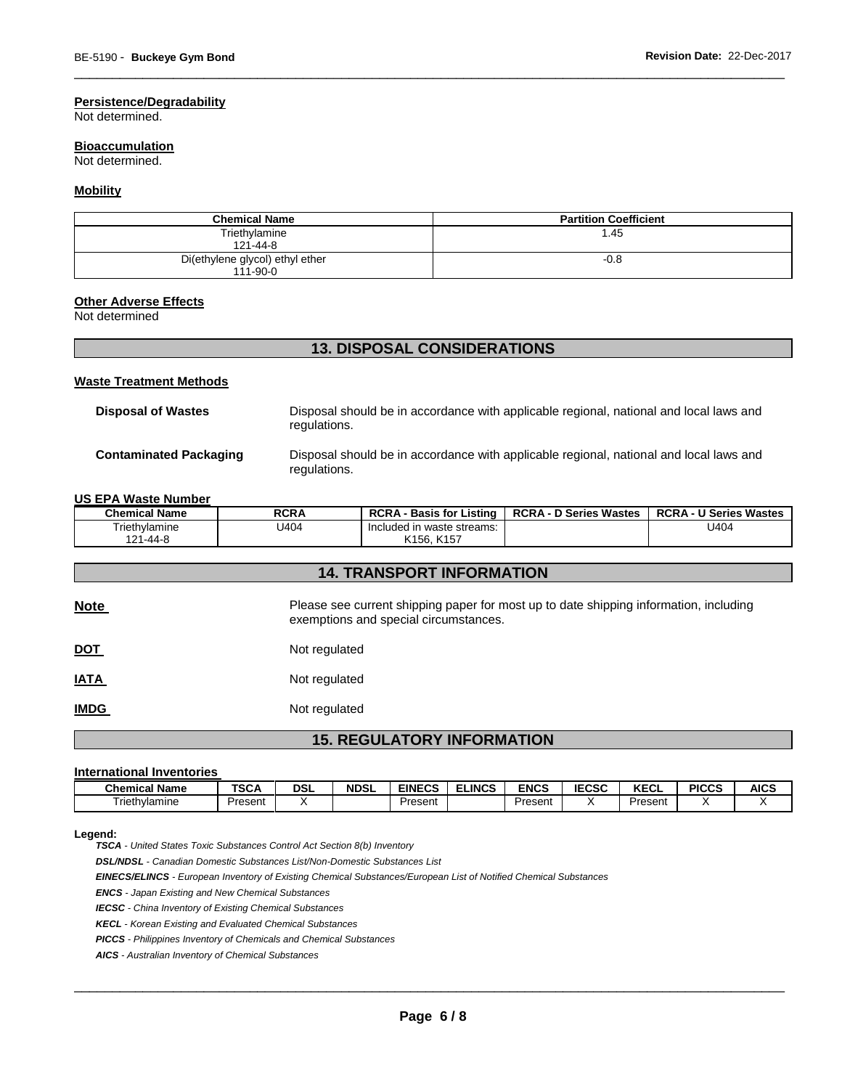# **Persistence/Degradability**

Not determined.

# **Bioaccumulation**

Not determined.

# **Mobility**

| <b>Chemical Name</b>            | <b>Partition Coefficient</b> |
|---------------------------------|------------------------------|
| Triethylamine                   | 1.45                         |
| 121-44-8                        |                              |
| Di(ethylene glycol) ethyl ether | $-0.8$                       |
| 111-90-0                        |                              |

**13. DISPOSAL CONSIDERATIONS** 

\_\_\_\_\_\_\_\_\_\_\_\_\_\_\_\_\_\_\_\_\_\_\_\_\_\_\_\_\_\_\_\_\_\_\_\_\_\_\_\_\_\_\_\_\_\_\_\_\_\_\_\_\_\_\_\_\_\_\_\_\_\_\_\_\_\_\_\_\_\_\_\_\_\_\_\_\_\_\_\_\_\_\_\_\_\_\_\_\_\_\_\_\_

# **Other Adverse Effects**

Not determined

| 13. DISPOSAL CONSIDERATIONS    |                                                                                                        |  |
|--------------------------------|--------------------------------------------------------------------------------------------------------|--|
| <b>Waste Treatment Methods</b> |                                                                                                        |  |
| <b>Disposal of Wastes</b>      | Disposal should be in accordance with applicable regional, national and local laws and<br>regulations. |  |
| <b>Contaminated Packaging</b>  | Disposal should be in accordance with applicable regional, national and local laws and<br>regulations. |  |

# **US EPA Waste Number**

| <b>Chemical Name</b>             | <b>RCRA</b>   | <b>RCRA - Basis for Listing</b>                                                                                                | <b>RCRA - D Series Wastes</b> | <b>RCRA - U Series Wastes</b> |  |  |
|----------------------------------|---------------|--------------------------------------------------------------------------------------------------------------------------------|-------------------------------|-------------------------------|--|--|
| Triethylamine                    | U404          | Included in waste streams:                                                                                                     |                               | U404                          |  |  |
| 121-44-8                         |               | K <sub>156</sub> , K <sub>157</sub>                                                                                            |                               |                               |  |  |
|                                  |               |                                                                                                                                |                               |                               |  |  |
| <b>14. TRANSPORT INFORMATION</b> |               |                                                                                                                                |                               |                               |  |  |
| <b>Note</b>                      |               | Please see current shipping paper for most up to date shipping information, including<br>exemptions and special circumstances. |                               |                               |  |  |
| <b>DOT</b>                       | Not regulated |                                                                                                                                |                               |                               |  |  |
| <b>IATA</b>                      | Not regulated |                                                                                                                                |                               |                               |  |  |
| <b>IMDG</b>                      | Not regulated |                                                                                                                                |                               |                               |  |  |
|                                  |               |                                                                                                                                |                               |                               |  |  |

# **15. REGULATORY INFORMATION**

# **International Inventories**

| <b>Name</b><br><b>Chemical</b> | <b>TSCA</b> | <b>DSL</b> | <b>NDSL</b> | <b>EINECS</b> | <b>ELINCS</b> | <b>ENCS</b> | <b>IECSC</b> | $V = 0$<br><b>NEUL</b> | <b>PICCS</b> | <b>AICS</b> |
|--------------------------------|-------------|------------|-------------|---------------|---------------|-------------|--------------|------------------------|--------------|-------------|
| Friethvlamine                  | Present     |            |             | Present       |               | Present     |              | Present                |              |             |

#### **Legend:**

*TSCA - United States Toxic Substances Control Act Section 8(b) Inventory* 

*DSL/NDSL - Canadian Domestic Substances List/Non-Domestic Substances List* 

*EINECS/ELINCS - European Inventory of Existing Chemical Substances/European List of Notified Chemical Substances* 

*ENCS - Japan Existing and New Chemical Substances* 

*IECSC - China Inventory of Existing Chemical Substances* 

*KECL - Korean Existing and Evaluated Chemical Substances* 

*PICCS - Philippines Inventory of Chemicals and Chemical Substances* 

*AICS - Australian Inventory of Chemical Substances*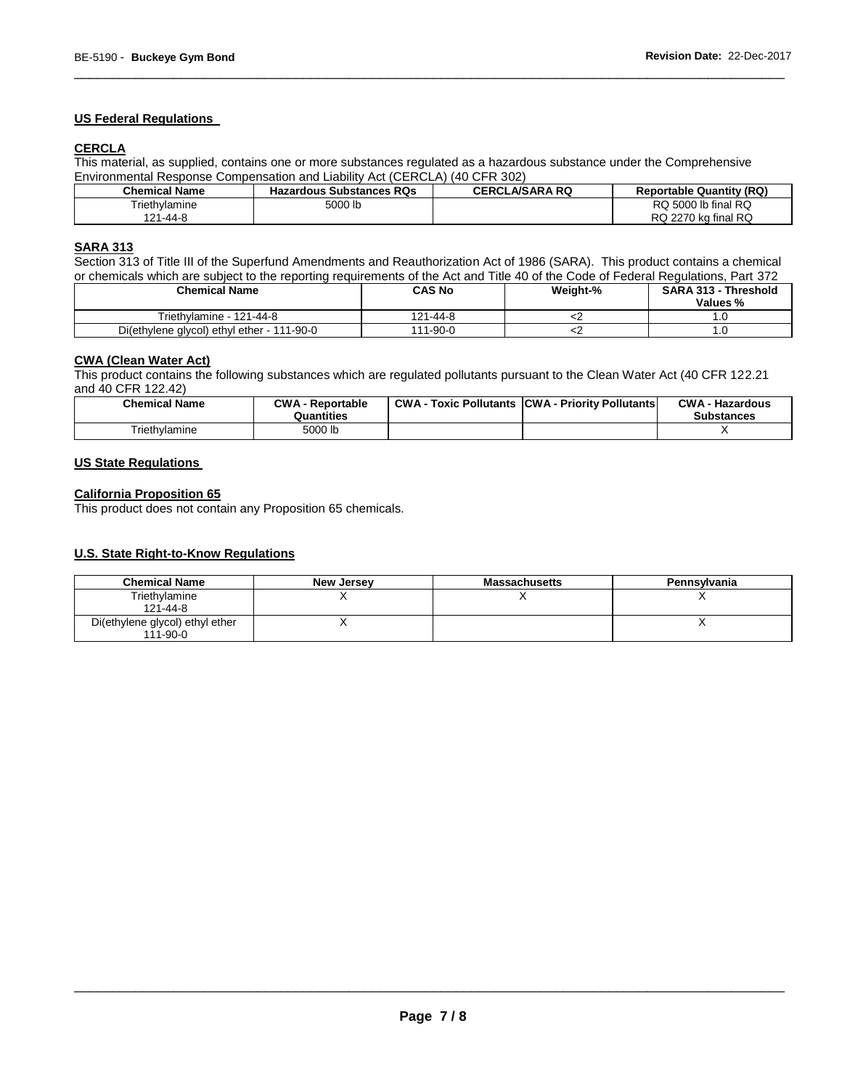# **US Federal Regulations**

# **CERCLA**

This material, as supplied, contains one or more substances regulated as a hazardous substance under the Comprehensive Environmental Response Compensation and Liability Act (CERCLA) (40 CFR 302)

| <b>Chemical Name</b> | <b>Hazardous Substances RQs</b> | <b>CERCLA/SARA RQ</b> | <b>Reportable Quantity (RQ)</b> |
|----------------------|---------------------------------|-----------------------|---------------------------------|
| Triethvlamine        | 5000 lb                         |                       | RQ 5000 lb final RQ             |
| 121-44-8             |                                 |                       | RQ 2270 kg final RQ             |

\_\_\_\_\_\_\_\_\_\_\_\_\_\_\_\_\_\_\_\_\_\_\_\_\_\_\_\_\_\_\_\_\_\_\_\_\_\_\_\_\_\_\_\_\_\_\_\_\_\_\_\_\_\_\_\_\_\_\_\_\_\_\_\_\_\_\_\_\_\_\_\_\_\_\_\_\_\_\_\_\_\_\_\_\_\_\_\_\_\_\_\_\_

# **SARA 313**

Section 313 of Title III of the Superfund Amendments and Reauthorization Act of 1986 (SARA). This product contains a chemical or chemicals which are subject to the reporting requirements of the Act and Title 40 of the Code of Federal Regulations, Part 372

| <b>Chemical Name</b>                       | CAS No   | Weight-% | <b>SARA 313 - Threshold</b><br>Values % |
|--------------------------------------------|----------|----------|-----------------------------------------|
| Triethylamine - 121-44-8                   | 121-44-8 |          |                                         |
| Di(ethylene glycol) ethyl ether - 111-90-0 | 111-90-0 | ິ        | .u                                      |

# **CWA (Clean Water Act)**

This product contains the following substances which are regulated pollutants pursuant to the Clean Water Act (40 CFR 122.21 and 40 CFR 122.42)

| <b>Chemical Name</b> | <b>CWA - Reportable</b><br>Quantities | CWA- | · Toxic Pollutants CCWA - Priority Pollutants | <b>CWA - Hazardous</b><br><b>Substances</b> |
|----------------------|---------------------------------------|------|-----------------------------------------------|---------------------------------------------|
| Triethvlamine        | 5000 lb                               |      |                                               |                                             |

# **US State Regulations**

# **California Proposition 65**

This product does not contain any Proposition 65 chemicals.

# **U.S. State Right-to-Know Regulations**

| <b>Chemical Name</b>                              | <b>New Jersey</b> | <b>Massachusetts</b> | Pennsylvania |
|---------------------------------------------------|-------------------|----------------------|--------------|
| Triethylamine<br>$121 - 44 - 8$                   |                   |                      |              |
| Di(ethylene glycol) ethyl ether<br>$111 - 90 - 0$ |                   |                      |              |